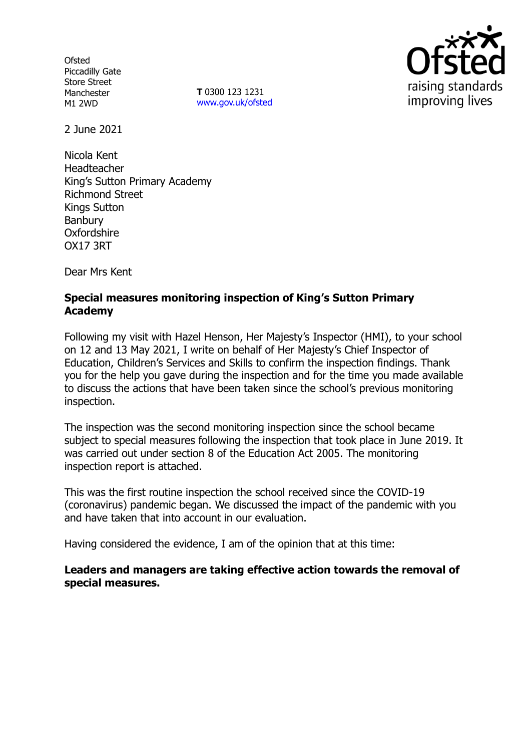**Ofsted** Piccadilly Gate Store Street Manchester M1 2WD

**T** 0300 123 1231 [www.gov.uk/ofsted](http://www.gov.uk/ofsted)



2 June 2021

Nicola Kent Headteacher King's Sutton Primary Academy Richmond Street Kings Sutton Banbury **Oxfordshire** OX17 3RT

Dear Mrs Kent

## **Special measures monitoring inspection of King's Sutton Primary Academy**

Following my visit with Hazel Henson, Her Majesty's Inspector (HMI), to your school on 12 and 13 May 2021, I write on behalf of Her Majesty's Chief Inspector of Education, Children's Services and Skills to confirm the inspection findings. Thank you for the help you gave during the inspection and for the time you made available to discuss the actions that have been taken since the school's previous monitoring inspection.

The inspection was the second monitoring inspection since the school became subject to special measures following the inspection that took place in June 2019. It was carried out under section 8 of the Education Act 2005. The monitoring inspection report is attached.

This was the first routine inspection the school received since the COVID-19 (coronavirus) pandemic began. We discussed the impact of the pandemic with you and have taken that into account in our evaluation.

Having considered the evidence, I am of the opinion that at this time:

### **Leaders and managers are taking effective action towards the removal of special measures.**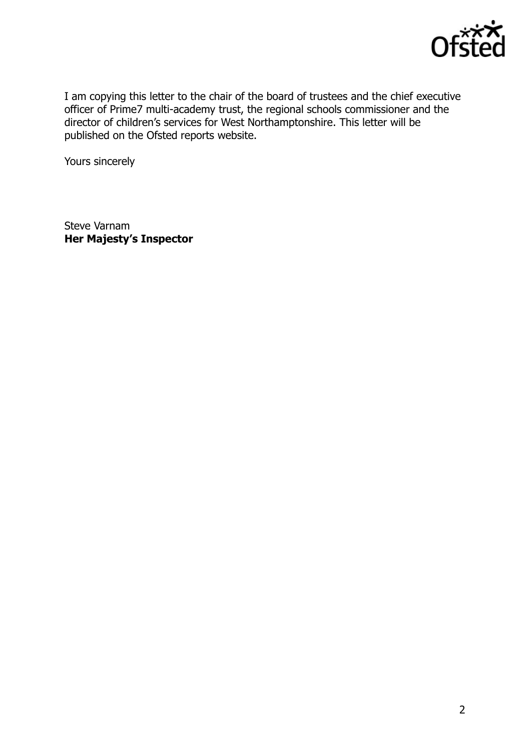

I am copying this letter to the chair of the board of trustees and the chief executive officer of Prime7 multi-academy trust, the regional schools commissioner and the director of children's services for West Northamptonshire. This letter will be published on the Ofsted reports website.

Yours sincerely

Steve Varnam **Her Majesty's Inspector**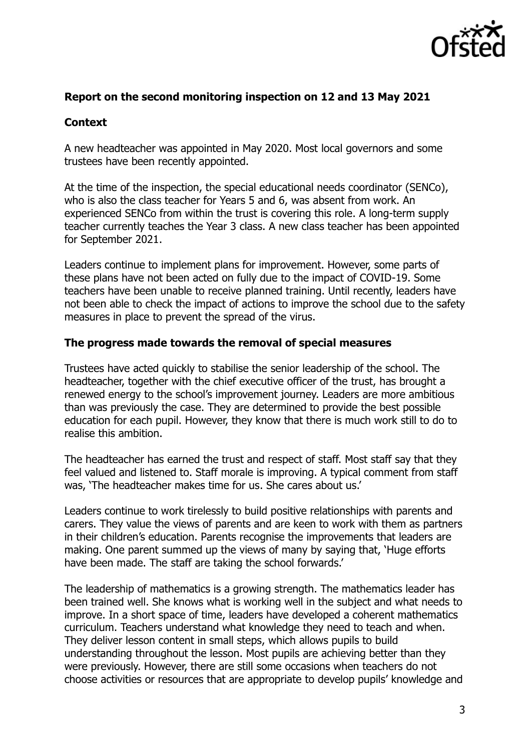

### **Report on the second monitoring inspection on 12 and 13 May 2021**

### **Context**

A new headteacher was appointed in May 2020. Most local governors and some trustees have been recently appointed.

At the time of the inspection, the special educational needs coordinator (SENCo), who is also the class teacher for Years 5 and 6, was absent from work. An experienced SENCo from within the trust is covering this role. A long-term supply teacher currently teaches the Year 3 class. A new class teacher has been appointed for September 2021.

Leaders continue to implement plans for improvement. However, some parts of these plans have not been acted on fully due to the impact of COVID-19. Some teachers have been unable to receive planned training. Until recently, leaders have not been able to check the impact of actions to improve the school due to the safety measures in place to prevent the spread of the virus.

#### **The progress made towards the removal of special measures**

Trustees have acted quickly to stabilise the senior leadership of the school. The headteacher, together with the chief executive officer of the trust, has brought a renewed energy to the school's improvement journey. Leaders are more ambitious than was previously the case. They are determined to provide the best possible education for each pupil. However, they know that there is much work still to do to realise this ambition.

The headteacher has earned the trust and respect of staff. Most staff say that they feel valued and listened to. Staff morale is improving. A typical comment from staff was, 'The headteacher makes time for us. She cares about us.'

Leaders continue to work tirelessly to build positive relationships with parents and carers. They value the views of parents and are keen to work with them as partners in their children's education. Parents recognise the improvements that leaders are making. One parent summed up the views of many by saying that, 'Huge efforts have been made. The staff are taking the school forwards.'

The leadership of mathematics is a growing strength. The mathematics leader has been trained well. She knows what is working well in the subject and what needs to improve. In a short space of time, leaders have developed a coherent mathematics curriculum. Teachers understand what knowledge they need to teach and when. They deliver lesson content in small steps, which allows pupils to build understanding throughout the lesson. Most pupils are achieving better than they were previously. However, there are still some occasions when teachers do not choose activities or resources that are appropriate to develop pupils' knowledge and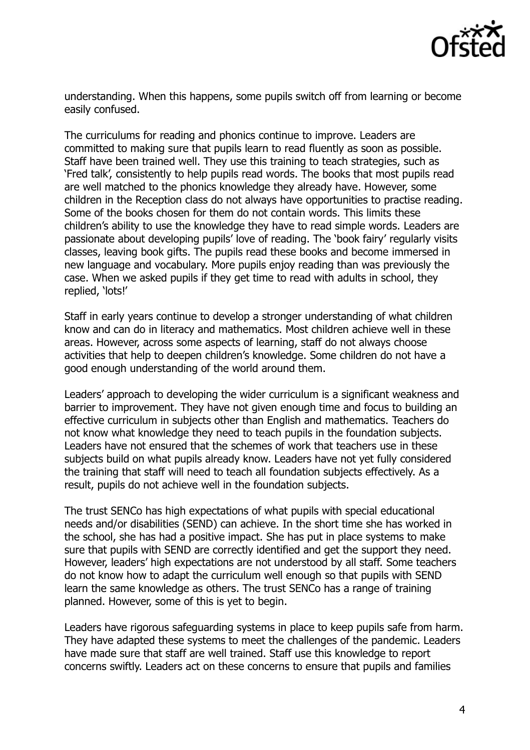

understanding. When this happens, some pupils switch off from learning or become easily confused.

The curriculums for reading and phonics continue to improve. Leaders are committed to making sure that pupils learn to read fluently as soon as possible. Staff have been trained well. They use this training to teach strategies, such as 'Fred talk', consistently to help pupils read words. The books that most pupils read are well matched to the phonics knowledge they already have. However, some children in the Reception class do not always have opportunities to practise reading. Some of the books chosen for them do not contain words. This limits these children's ability to use the knowledge they have to read simple words. Leaders are passionate about developing pupils' love of reading. The 'book fairy' regularly visits classes, leaving book gifts. The pupils read these books and become immersed in new language and vocabulary. More pupils enjoy reading than was previously the case. When we asked pupils if they get time to read with adults in school, they replied, 'lots!'

Staff in early years continue to develop a stronger understanding of what children know and can do in literacy and mathematics. Most children achieve well in these areas. However, across some aspects of learning, staff do not always choose activities that help to deepen children's knowledge. Some children do not have a good enough understanding of the world around them.

Leaders' approach to developing the wider curriculum is a significant weakness and barrier to improvement. They have not given enough time and focus to building an effective curriculum in subjects other than English and mathematics. Teachers do not know what knowledge they need to teach pupils in the foundation subjects. Leaders have not ensured that the schemes of work that teachers use in these subjects build on what pupils already know. Leaders have not yet fully considered the training that staff will need to teach all foundation subjects effectively. As a result, pupils do not achieve well in the foundation subjects.

The trust SENCo has high expectations of what pupils with special educational needs and/or disabilities (SEND) can achieve. In the short time she has worked in the school, she has had a positive impact. She has put in place systems to make sure that pupils with SEND are correctly identified and get the support they need. However, leaders' high expectations are not understood by all staff. Some teachers do not know how to adapt the curriculum well enough so that pupils with SEND learn the same knowledge as others. The trust SENCo has a range of training planned. However, some of this is yet to begin.

Leaders have rigorous safeguarding systems in place to keep pupils safe from harm. They have adapted these systems to meet the challenges of the pandemic. Leaders have made sure that staff are well trained. Staff use this knowledge to report concerns swiftly. Leaders act on these concerns to ensure that pupils and families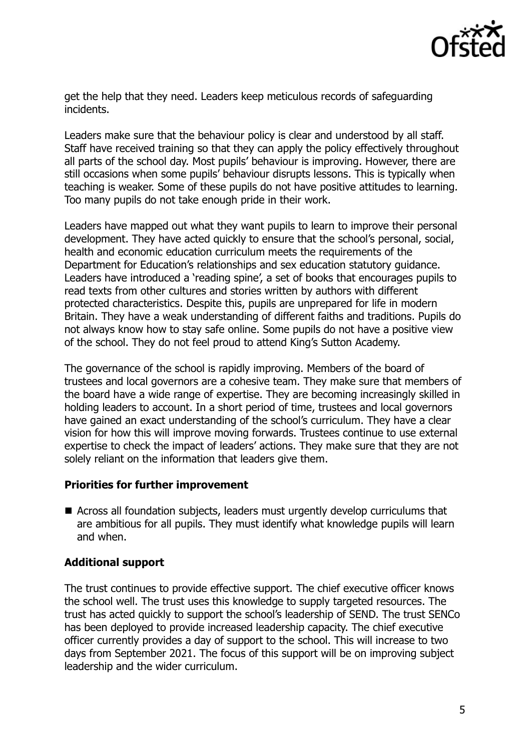

get the help that they need. Leaders keep meticulous records of safeguarding incidents.

Leaders make sure that the behaviour policy is clear and understood by all staff. Staff have received training so that they can apply the policy effectively throughout all parts of the school day. Most pupils' behaviour is improving. However, there are still occasions when some pupils' behaviour disrupts lessons. This is typically when teaching is weaker. Some of these pupils do not have positive attitudes to learning. Too many pupils do not take enough pride in their work.

Leaders have mapped out what they want pupils to learn to improve their personal development. They have acted quickly to ensure that the school's personal, social, health and economic education curriculum meets the requirements of the Department for Education's relationships and sex education statutory guidance. Leaders have introduced a 'reading spine', a set of books that encourages pupils to read texts from other cultures and stories written by authors with different protected characteristics. Despite this, pupils are unprepared for life in modern Britain. They have a weak understanding of different faiths and traditions. Pupils do not always know how to stay safe online. Some pupils do not have a positive view of the school. They do not feel proud to attend King's Sutton Academy.

The governance of the school is rapidly improving. Members of the board of trustees and local governors are a cohesive team. They make sure that members of the board have a wide range of expertise. They are becoming increasingly skilled in holding leaders to account. In a short period of time, trustees and local governors have gained an exact understanding of the school's curriculum. They have a clear vision for how this will improve moving forwards. Trustees continue to use external expertise to check the impact of leaders' actions. They make sure that they are not solely reliant on the information that leaders give them.

### **Priorities for further improvement**

■ Across all foundation subjects, leaders must urgently develop curriculums that are ambitious for all pupils. They must identify what knowledge pupils will learn and when.

### **Additional support**

The trust continues to provide effective support. The chief executive officer knows the school well. The trust uses this knowledge to supply targeted resources. The trust has acted quickly to support the school's leadership of SEND. The trust SENCo has been deployed to provide increased leadership capacity. The chief executive officer currently provides a day of support to the school. This will increase to two days from September 2021. The focus of this support will be on improving subject leadership and the wider curriculum.